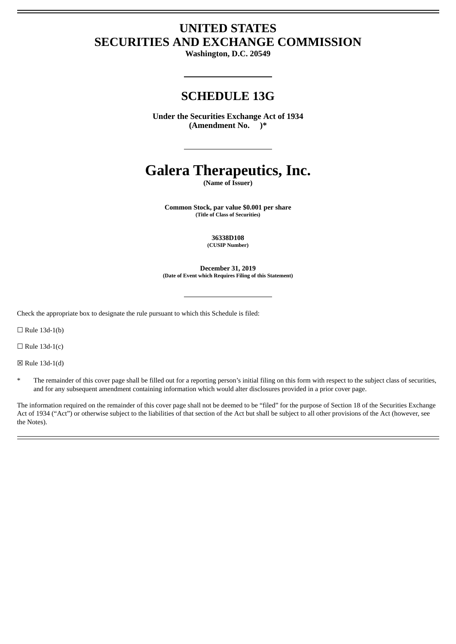# **UNITED STATES SECURITIES AND EXCHANGE COMMISSION**

**Washington, D.C. 20549**

# **SCHEDULE 13G**

**Under the Securities Exchange Act of 1934 (Amendment No. )\***

# **Galera Therapeutics, Inc.**

**(Name of Issuer)**

**Common Stock, par value \$0.001 per share (Title of Class of Securities)**

> **36338D108 (CUSIP Number)**

**December 31, 2019 (Date of Event which Requires Filing of this Statement)**

Check the appropriate box to designate the rule pursuant to which this Schedule is filed:

 $\Box$  Rule 13d-1(b)

 $\Box$  Rule 13d-1(c)

☒ Rule 13d-1(d)

The remainder of this cover page shall be filled out for a reporting person's initial filing on this form with respect to the subject class of securities, and for any subsequent amendment containing information which would alter disclosures provided in a prior cover page.

The information required on the remainder of this cover page shall not be deemed to be "filed" for the purpose of Section 18 of the Securities Exchange Act of 1934 ("Act") or otherwise subject to the liabilities of that section of the Act but shall be subject to all other provisions of the Act (however, see the Notes).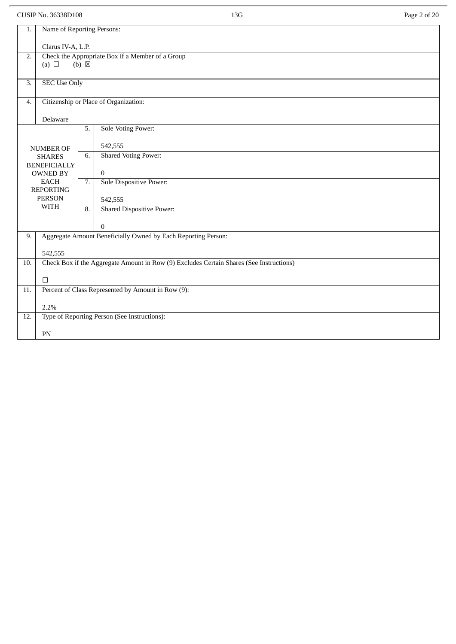CUSIP No. 36338D108 Page 2 of 20

| 1.                | Name of Reporting Persons:                                                              |                  |                                                               |  |  |
|-------------------|-----------------------------------------------------------------------------------------|------------------|---------------------------------------------------------------|--|--|
|                   | Clarus IV-A, L.P.                                                                       |                  |                                                               |  |  |
| 2.                | (a) $\Box$                                                                              | $(b) \boxtimes$  | Check the Appropriate Box if a Member of a Group              |  |  |
| 3.                | <b>SEC Use Only</b>                                                                     |                  |                                                               |  |  |
| $\overline{4}$ .  |                                                                                         |                  | Citizenship or Place of Organization:                         |  |  |
|                   | Delaware                                                                                |                  |                                                               |  |  |
|                   |                                                                                         | 5.               | <b>Sole Voting Power:</b>                                     |  |  |
|                   | <b>NUMBER OF</b>                                                                        |                  | 542,555                                                       |  |  |
|                   | <b>SHARES</b><br><b>BENEFICIALLY</b>                                                    | 6.               | <b>Shared Voting Power:</b>                                   |  |  |
|                   | OWNED BY                                                                                |                  | $\mathbf{0}$                                                  |  |  |
|                   | <b>EACH</b><br><b>REPORTING</b>                                                         | 7.               | Sole Dispositive Power:                                       |  |  |
|                   | <b>PERSON</b><br><b>WITH</b>                                                            |                  | 542,555                                                       |  |  |
|                   |                                                                                         | $\overline{8}$ . | <b>Shared Dispositive Power:</b>                              |  |  |
|                   |                                                                                         |                  | $\Omega$                                                      |  |  |
| 9.                |                                                                                         |                  | Aggregate Amount Beneficially Owned by Each Reporting Person: |  |  |
|                   | 542,555                                                                                 |                  |                                                               |  |  |
| 10.               | Check Box if the Aggregate Amount in Row (9) Excludes Certain Shares (See Instructions) |                  |                                                               |  |  |
|                   | $\Box$                                                                                  |                  |                                                               |  |  |
| $\overline{11}$ . |                                                                                         |                  | Percent of Class Represented by Amount in Row (9):            |  |  |
|                   | 2.2%                                                                                    |                  |                                                               |  |  |
| 12.               |                                                                                         |                  | Type of Reporting Person (See Instructions):                  |  |  |
|                   | PN                                                                                      |                  |                                                               |  |  |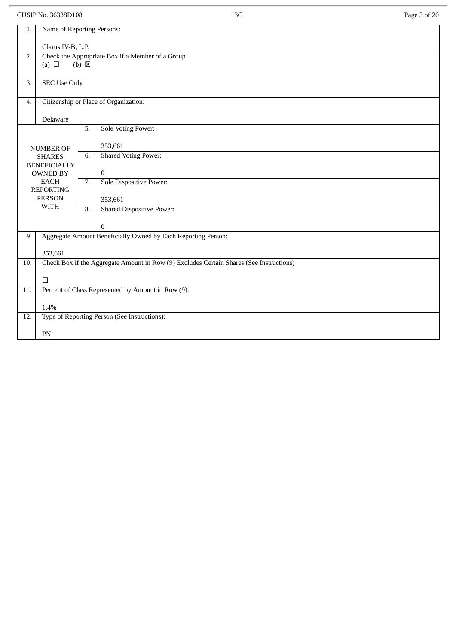CUSIP No. 36338D108 Page 3 of 20

| 1.                                                                                             | Name of Reporting Persons:        |                 |                                                               |  |  |  |
|------------------------------------------------------------------------------------------------|-----------------------------------|-----------------|---------------------------------------------------------------|--|--|--|
|                                                                                                | Clarus IV-B, L.P.                 |                 |                                                               |  |  |  |
|                                                                                                |                                   |                 |                                                               |  |  |  |
| 2.                                                                                             |                                   |                 | Check the Appropriate Box if a Member of a Group              |  |  |  |
|                                                                                                | (a) $\Box$                        | $(b) \boxtimes$ |                                                               |  |  |  |
| 3.                                                                                             | <b>SEC Use Only</b>               |                 |                                                               |  |  |  |
|                                                                                                |                                   |                 |                                                               |  |  |  |
| $\overline{4}$ .                                                                               |                                   |                 | Citizenship or Place of Organization:                         |  |  |  |
|                                                                                                | Delaware                          |                 |                                                               |  |  |  |
|                                                                                                |                                   | 5.              | <b>Sole Voting Power:</b>                                     |  |  |  |
|                                                                                                |                                   |                 |                                                               |  |  |  |
|                                                                                                | <b>NUMBER OF</b>                  |                 | 353,661                                                       |  |  |  |
|                                                                                                | <b>SHARES</b>                     | 6.              | <b>Shared Voting Power:</b>                                   |  |  |  |
|                                                                                                | <b>BENEFICIALLY</b>               |                 |                                                               |  |  |  |
|                                                                                                | OWNED BY                          |                 | $\overline{0}$                                                |  |  |  |
|                                                                                                | <b>EACH</b>                       | 7.              | Sole Dispositive Power:                                       |  |  |  |
|                                                                                                | <b>REPORTING</b><br><b>PERSON</b> |                 |                                                               |  |  |  |
|                                                                                                | <b>WITH</b>                       |                 | 353,661                                                       |  |  |  |
|                                                                                                |                                   | 8.              | <b>Shared Dispositive Power:</b>                              |  |  |  |
|                                                                                                |                                   |                 | $\mathbf{0}$                                                  |  |  |  |
| 9.                                                                                             |                                   |                 | Aggregate Amount Beneficially Owned by Each Reporting Person: |  |  |  |
|                                                                                                |                                   |                 |                                                               |  |  |  |
|                                                                                                | 353,661                           |                 |                                                               |  |  |  |
| Check Box if the Aggregate Amount in Row (9) Excludes Certain Shares (See Instructions)<br>10. |                                   |                 |                                                               |  |  |  |
|                                                                                                |                                   |                 |                                                               |  |  |  |
|                                                                                                | $\Box$                            |                 |                                                               |  |  |  |
| 11.                                                                                            |                                   |                 | Percent of Class Represented by Amount in Row (9):            |  |  |  |
|                                                                                                | 1.4%                              |                 |                                                               |  |  |  |
| 12.                                                                                            |                                   |                 | Type of Reporting Person (See Instructions):                  |  |  |  |
|                                                                                                |                                   |                 |                                                               |  |  |  |
|                                                                                                | PN                                |                 |                                                               |  |  |  |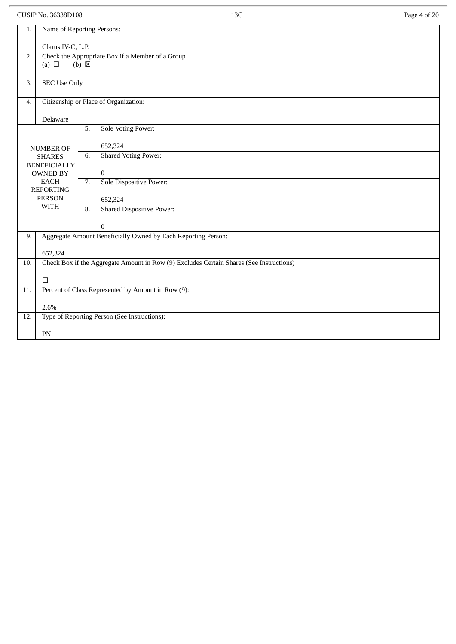CUSIP No. 36338D108 Page 4 of 20

| 1.                | Name of Reporting Persons:                                   |                  |                                                                                         |  |  |
|-------------------|--------------------------------------------------------------|------------------|-----------------------------------------------------------------------------------------|--|--|
|                   | Clarus IV-C, L.P.                                            |                  |                                                                                         |  |  |
| 2.                | (a) $\Box$                                                   | $(b) \boxtimes$  | Check the Appropriate Box if a Member of a Group                                        |  |  |
|                   |                                                              |                  |                                                                                         |  |  |
| 3.                | <b>SEC Use Only</b>                                          |                  |                                                                                         |  |  |
| $\overline{4}$ .  |                                                              |                  | Citizenship or Place of Organization:                                                   |  |  |
|                   |                                                              |                  |                                                                                         |  |  |
|                   | Delaware                                                     |                  |                                                                                         |  |  |
|                   |                                                              | 5.               | <b>Sole Voting Power:</b>                                                               |  |  |
|                   | <b>NUMBER OF</b>                                             |                  | 652,324                                                                                 |  |  |
|                   | <b>SHARES</b>                                                | 6.               | <b>Shared Voting Power:</b>                                                             |  |  |
|                   | <b>BENEFICIALLY</b><br>OWNED BY                              |                  | $\overline{0}$                                                                          |  |  |
|                   | <b>EACH</b>                                                  | 7.               | Sole Dispositive Power:                                                                 |  |  |
|                   | <b>REPORTING</b><br><b>PERSON</b>                            |                  | 652,324                                                                                 |  |  |
|                   | <b>WITH</b>                                                  | $\overline{8}$ . | <b>Shared Dispositive Power:</b>                                                        |  |  |
|                   |                                                              |                  | $\mathbf{0}$                                                                            |  |  |
| 9.                |                                                              |                  | Aggregate Amount Beneficially Owned by Each Reporting Person:                           |  |  |
|                   | 652,324                                                      |                  |                                                                                         |  |  |
| 10.               |                                                              |                  | Check Box if the Aggregate Amount in Row (9) Excludes Certain Shares (See Instructions) |  |  |
|                   |                                                              |                  |                                                                                         |  |  |
| $\overline{11}$ . | $\Box$<br>Percent of Class Represented by Amount in Row (9): |                  |                                                                                         |  |  |
|                   |                                                              |                  |                                                                                         |  |  |
| 12.               | 2.6%<br>Type of Reporting Person (See Instructions):         |                  |                                                                                         |  |  |
|                   |                                                              |                  |                                                                                         |  |  |
|                   | ${\rm PN}$                                                   |                  |                                                                                         |  |  |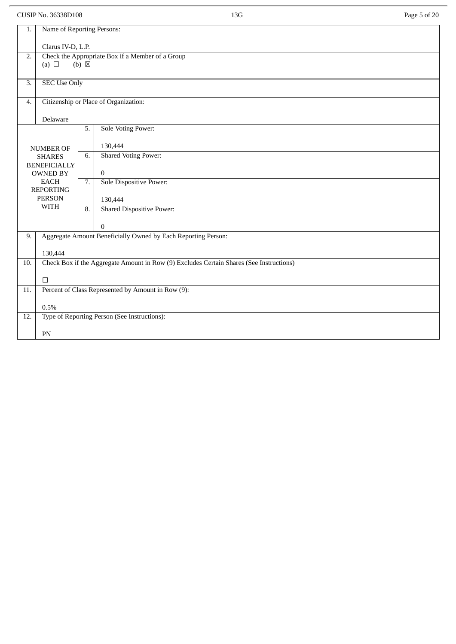CUSIP No. 36338D108 Page 5 of 20

| 1.                | Name of Reporting Persons:                                                              |                                                  |                                                                               |  |  |
|-------------------|-----------------------------------------------------------------------------------------|--------------------------------------------------|-------------------------------------------------------------------------------|--|--|
|                   | Clarus IV-D, L.P.                                                                       |                                                  |                                                                               |  |  |
| 2.                |                                                                                         | Check the Appropriate Box if a Member of a Group |                                                                               |  |  |
|                   | (a) $\Box$                                                                              | $(b) \boxtimes$                                  |                                                                               |  |  |
| 3.                | <b>SEC Use Only</b>                                                                     |                                                  |                                                                               |  |  |
|                   |                                                                                         |                                                  |                                                                               |  |  |
| $\overline{4}$ .  |                                                                                         |                                                  | Citizenship or Place of Organization:                                         |  |  |
|                   | Delaware                                                                                |                                                  |                                                                               |  |  |
|                   |                                                                                         | 5.                                               | <b>Sole Voting Power:</b>                                                     |  |  |
|                   |                                                                                         |                                                  |                                                                               |  |  |
|                   | <b>NUMBER OF</b><br><b>SHARES</b>                                                       | 6.                                               | 130,444<br><b>Shared Voting Power:</b>                                        |  |  |
|                   | <b>BENEFICIALLY</b>                                                                     |                                                  |                                                                               |  |  |
|                   | OWNED BY                                                                                |                                                  | $\overline{0}$                                                                |  |  |
|                   | <b>EACH</b><br><b>REPORTING</b>                                                         | $\overline{7}$ .                                 | Sole Dispositive Power:                                                       |  |  |
|                   | <b>PERSON</b>                                                                           |                                                  | 130,444                                                                       |  |  |
|                   | <b>WITH</b>                                                                             | $\overline{8}$ .                                 | <b>Shared Dispositive Power:</b>                                              |  |  |
|                   |                                                                                         |                                                  |                                                                               |  |  |
| 9.                |                                                                                         |                                                  | $\mathbf{0}$<br>Aggregate Amount Beneficially Owned by Each Reporting Person: |  |  |
|                   |                                                                                         |                                                  |                                                                               |  |  |
|                   | 130,444                                                                                 |                                                  |                                                                               |  |  |
| 10.               | Check Box if the Aggregate Amount in Row (9) Excludes Certain Shares (See Instructions) |                                                  |                                                                               |  |  |
|                   | $\Box$                                                                                  |                                                  |                                                                               |  |  |
| $\overline{11}$ . | Percent of Class Represented by Amount in Row (9):                                      |                                                  |                                                                               |  |  |
|                   |                                                                                         |                                                  |                                                                               |  |  |
|                   | 0.5%                                                                                    |                                                  |                                                                               |  |  |
| 12.               |                                                                                         |                                                  | Type of Reporting Person (See Instructions):                                  |  |  |
|                   | PN                                                                                      |                                                  |                                                                               |  |  |
|                   |                                                                                         |                                                  |                                                                               |  |  |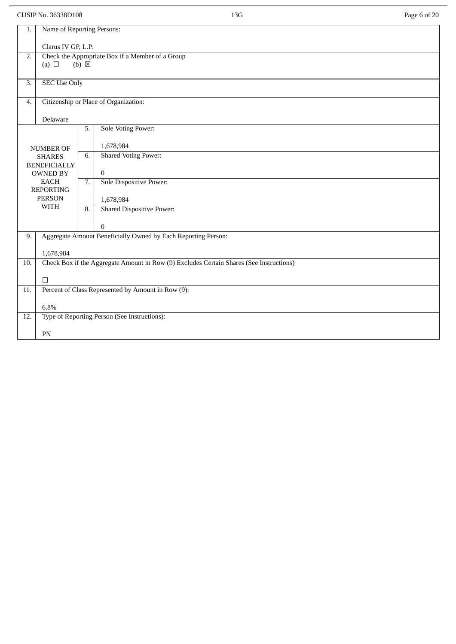CUSIP No. 36338D108 Page 6 of 20

| 1.                | Name of Reporting Persons:                                                              |                  |                                                               |  |  |
|-------------------|-----------------------------------------------------------------------------------------|------------------|---------------------------------------------------------------|--|--|
|                   | Clarus IV GP, L.P.                                                                      |                  |                                                               |  |  |
| 2.                | Check the Appropriate Box if a Member of a Group                                        |                  |                                                               |  |  |
|                   | (a) $\Box$                                                                              | $(b) \boxtimes$  |                                                               |  |  |
|                   |                                                                                         |                  |                                                               |  |  |
| 3.                | <b>SEC Use Only</b>                                                                     |                  |                                                               |  |  |
| $\overline{4}$ .  |                                                                                         |                  | Citizenship or Place of Organization:                         |  |  |
|                   | Delaware                                                                                |                  |                                                               |  |  |
|                   |                                                                                         | 5.               | <b>Sole Voting Power:</b>                                     |  |  |
|                   |                                                                                         |                  |                                                               |  |  |
|                   | <b>NUMBER OF</b>                                                                        |                  | 1,678,984                                                     |  |  |
|                   | <b>SHARES</b>                                                                           | 6.               | <b>Shared Voting Power:</b>                                   |  |  |
|                   | <b>BENEFICIALLY</b><br>OWNED BY                                                         |                  | $\overline{0}$                                                |  |  |
|                   | <b>EACH</b>                                                                             | $\overline{7}$ . | Sole Dispositive Power:                                       |  |  |
|                   | <b>REPORTING</b>                                                                        |                  |                                                               |  |  |
|                   | <b>PERSON</b><br><b>WITH</b>                                                            |                  | 1,678,984                                                     |  |  |
|                   |                                                                                         | $\overline{8}$ . | <b>Shared Dispositive Power:</b>                              |  |  |
|                   |                                                                                         |                  | $\mathbf{0}$                                                  |  |  |
| 9.                |                                                                                         |                  | Aggregate Amount Beneficially Owned by Each Reporting Person: |  |  |
|                   |                                                                                         |                  |                                                               |  |  |
| 10.               | 1,678,984                                                                               |                  |                                                               |  |  |
|                   | Check Box if the Aggregate Amount in Row (9) Excludes Certain Shares (See Instructions) |                  |                                                               |  |  |
|                   | $\Box$                                                                                  |                  |                                                               |  |  |
| $\overline{11}$ . | Percent of Class Represented by Amount in Row (9):                                      |                  |                                                               |  |  |
|                   |                                                                                         |                  |                                                               |  |  |
| 12.               | 6.8%<br>Type of Reporting Person (See Instructions):                                    |                  |                                                               |  |  |
|                   |                                                                                         |                  |                                                               |  |  |
|                   | PN                                                                                      |                  |                                                               |  |  |
|                   |                                                                                         |                  |                                                               |  |  |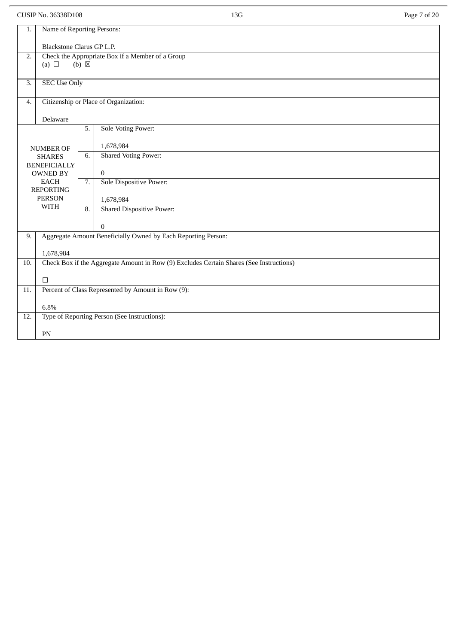CUSIP No. 36338D108 Page 7 of 20

| 1.                                                                                             | Name of Reporting Persons:        |                           |                                                               |  |  |  |  |
|------------------------------------------------------------------------------------------------|-----------------------------------|---------------------------|---------------------------------------------------------------|--|--|--|--|
|                                                                                                |                                   | Blackstone Clarus GP L.P. |                                                               |  |  |  |  |
|                                                                                                |                                   |                           |                                                               |  |  |  |  |
| 2.                                                                                             | (a) $\Box$                        | $(b)$ $\boxtimes$         | Check the Appropriate Box if a Member of a Group              |  |  |  |  |
|                                                                                                |                                   |                           |                                                               |  |  |  |  |
| 3.                                                                                             | <b>SEC Use Only</b>               |                           |                                                               |  |  |  |  |
|                                                                                                |                                   |                           |                                                               |  |  |  |  |
| $\overline{4}$ .                                                                               |                                   |                           | Citizenship or Place of Organization:                         |  |  |  |  |
|                                                                                                |                                   |                           |                                                               |  |  |  |  |
|                                                                                                | Delaware                          |                           |                                                               |  |  |  |  |
|                                                                                                |                                   | 5.                        | <b>Sole Voting Power:</b>                                     |  |  |  |  |
|                                                                                                |                                   |                           | 1,678,984                                                     |  |  |  |  |
|                                                                                                | <b>NUMBER OF</b><br><b>SHARES</b> | 6.                        | <b>Shared Voting Power:</b>                                   |  |  |  |  |
|                                                                                                | <b>BENEFICIALLY</b>               |                           |                                                               |  |  |  |  |
|                                                                                                | OWNED BY                          |                           | $\overline{0}$                                                |  |  |  |  |
|                                                                                                | <b>EACH</b>                       | 7.                        | Sole Dispositive Power:                                       |  |  |  |  |
|                                                                                                | <b>REPORTING</b>                  |                           |                                                               |  |  |  |  |
|                                                                                                | <b>PERSON</b><br><b>WITH</b>      |                           | 1,678,984                                                     |  |  |  |  |
|                                                                                                |                                   | 8.                        | <b>Shared Dispositive Power:</b>                              |  |  |  |  |
|                                                                                                |                                   |                           | $\mathbf{0}$                                                  |  |  |  |  |
| 9.                                                                                             |                                   |                           | Aggregate Amount Beneficially Owned by Each Reporting Person: |  |  |  |  |
|                                                                                                |                                   |                           |                                                               |  |  |  |  |
|                                                                                                | 1,678,984                         |                           |                                                               |  |  |  |  |
| Check Box if the Aggregate Amount in Row (9) Excludes Certain Shares (See Instructions)<br>10. |                                   |                           |                                                               |  |  |  |  |
|                                                                                                |                                   |                           |                                                               |  |  |  |  |
|                                                                                                | $\Box$                            |                           |                                                               |  |  |  |  |
| 11.                                                                                            |                                   |                           | Percent of Class Represented by Amount in Row (9):            |  |  |  |  |
|                                                                                                | 6.8%                              |                           |                                                               |  |  |  |  |
| 12.                                                                                            |                                   |                           | Type of Reporting Person (See Instructions):                  |  |  |  |  |
|                                                                                                |                                   |                           |                                                               |  |  |  |  |
|                                                                                                | PN                                |                           |                                                               |  |  |  |  |
|                                                                                                |                                   |                           |                                                               |  |  |  |  |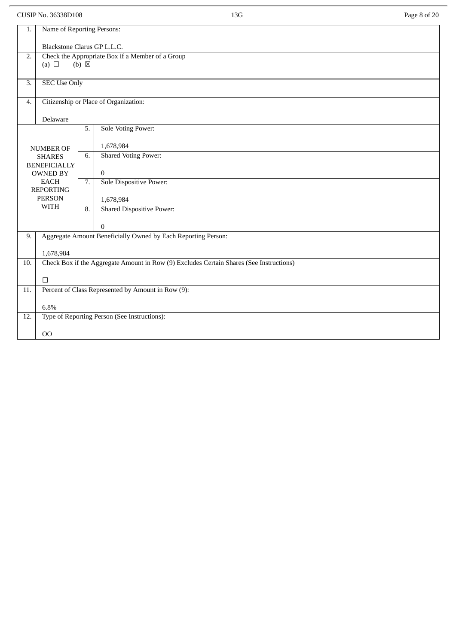CUSIP No. 36338D108 Page 8 of 20

| 1.                                                                   |                                                    | Name of Reporting Persons:                                                                           |  |  |  |  |  |
|----------------------------------------------------------------------|----------------------------------------------------|------------------------------------------------------------------------------------------------------|--|--|--|--|--|
|                                                                      |                                                    | Blackstone Clarus GP L.L.C.                                                                          |  |  |  |  |  |
|                                                                      |                                                    |                                                                                                      |  |  |  |  |  |
| Check the Appropriate Box if a Member of a Group<br>$\overline{2}$ . |                                                    |                                                                                                      |  |  |  |  |  |
|                                                                      | (a) $\Box$                                         | $(b) \boxtimes$                                                                                      |  |  |  |  |  |
|                                                                      |                                                    |                                                                                                      |  |  |  |  |  |
| 3.                                                                   | <b>SEC Use Only</b>                                |                                                                                                      |  |  |  |  |  |
|                                                                      |                                                    |                                                                                                      |  |  |  |  |  |
| 4.                                                                   |                                                    | Citizenship or Place of Organization:                                                                |  |  |  |  |  |
|                                                                      |                                                    |                                                                                                      |  |  |  |  |  |
|                                                                      | Delaware                                           |                                                                                                      |  |  |  |  |  |
|                                                                      |                                                    | <b>Sole Voting Power:</b><br>5.                                                                      |  |  |  |  |  |
|                                                                      |                                                    |                                                                                                      |  |  |  |  |  |
|                                                                      | <b>NUMBER OF</b>                                   | 1,678,984                                                                                            |  |  |  |  |  |
|                                                                      | <b>SHARES</b>                                      | <b>Shared Voting Power:</b><br>6.                                                                    |  |  |  |  |  |
|                                                                      | <b>BENEFICIALLY</b>                                |                                                                                                      |  |  |  |  |  |
|                                                                      | OWNED BY                                           | $\mathbf{0}$                                                                                         |  |  |  |  |  |
|                                                                      | <b>EACH</b>                                        | 7.<br>Sole Dispositive Power:                                                                        |  |  |  |  |  |
|                                                                      | <b>REPORTING</b><br><b>PERSON</b>                  |                                                                                                      |  |  |  |  |  |
|                                                                      | <b>WITH</b>                                        | 1,678,984                                                                                            |  |  |  |  |  |
|                                                                      |                                                    | <b>Shared Dispositive Power:</b><br>8.                                                               |  |  |  |  |  |
|                                                                      |                                                    |                                                                                                      |  |  |  |  |  |
|                                                                      |                                                    | $\Omega$                                                                                             |  |  |  |  |  |
| 9.                                                                   |                                                    | Aggregate Amount Beneficially Owned by Each Reporting Person:                                        |  |  |  |  |  |
|                                                                      |                                                    |                                                                                                      |  |  |  |  |  |
|                                                                      | 1,678,984                                          |                                                                                                      |  |  |  |  |  |
| 10.                                                                  |                                                    | Check Box if the Aggregate Amount in Row $\overline{(9)}$ Excludes Certain Shares (See Instructions) |  |  |  |  |  |
|                                                                      | $\Box$                                             |                                                                                                      |  |  |  |  |  |
| $\overline{11}$ .                                                    | Percent of Class Represented by Amount in Row (9): |                                                                                                      |  |  |  |  |  |
|                                                                      |                                                    |                                                                                                      |  |  |  |  |  |
|                                                                      | 6.8%                                               |                                                                                                      |  |  |  |  |  |
| 12.                                                                  | Type of Reporting Person (See Instructions):       |                                                                                                      |  |  |  |  |  |
|                                                                      |                                                    |                                                                                                      |  |  |  |  |  |
|                                                                      | 00                                                 |                                                                                                      |  |  |  |  |  |
|                                                                      |                                                    |                                                                                                      |  |  |  |  |  |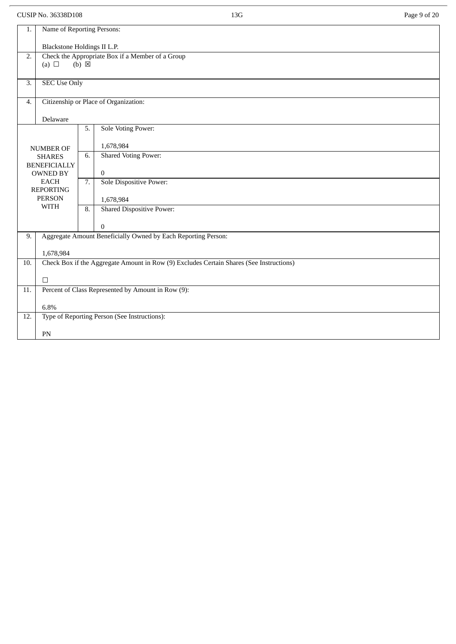CUSIP No. 36338D108 Page 9 of 20

| 1.               | Name of Reporting Persons:                                              |                 |                                                                                         |
|------------------|-------------------------------------------------------------------------|-----------------|-----------------------------------------------------------------------------------------|
|                  |                                                                         |                 |                                                                                         |
|                  | Blackstone Holdings II L.P.                                             |                 |                                                                                         |
| $\overline{2}$ . | (a) $\Box$                                                              | $(b) \boxtimes$ | Check the Appropriate Box if a Member of a Group                                        |
|                  |                                                                         |                 |                                                                                         |
| 3.               | <b>SEC Use Only</b>                                                     |                 |                                                                                         |
|                  |                                                                         |                 |                                                                                         |
| 4.               |                                                                         |                 | Citizenship or Place of Organization:                                                   |
|                  |                                                                         |                 |                                                                                         |
|                  | Delaware                                                                |                 |                                                                                         |
|                  |                                                                         | 5.              | <b>Sole Voting Power:</b>                                                               |
|                  |                                                                         |                 | 1,678,984                                                                               |
|                  | <b>NUMBER OF</b>                                                        | 6.              | <b>Shared Voting Power:</b>                                                             |
|                  | <b>SHARES</b><br><b>BENEFICIALLY</b>                                    |                 |                                                                                         |
|                  | <b>OWNED BY</b>                                                         |                 | $\mathbf{0}$                                                                            |
|                  | <b>EACH</b>                                                             | 7.              | <b>Sole Dispositive Power:</b>                                                          |
|                  | <b>REPORTING</b>                                                        |                 |                                                                                         |
|                  | <b>PERSON</b>                                                           |                 | 1,678,984                                                                               |
|                  | <b>WITH</b>                                                             | 8.              | <b>Shared Dispositive Power:</b>                                                        |
|                  |                                                                         |                 |                                                                                         |
|                  |                                                                         |                 | $\mathbf{0}$<br>Aggregate Amount Beneficially Owned by Each Reporting Person:           |
| 9.               |                                                                         |                 |                                                                                         |
|                  | 1,678,984                                                               |                 |                                                                                         |
| 10.              |                                                                         |                 | Check Box if the Aggregate Amount in Row (9) Excludes Certain Shares (See Instructions) |
|                  |                                                                         |                 |                                                                                         |
| $\Box$           |                                                                         |                 |                                                                                         |
|                  | Percent of Class Represented by Amount in Row (9):<br>$\overline{11}$ . |                 |                                                                                         |
|                  | 6.8%                                                                    |                 |                                                                                         |
| 12.              |                                                                         |                 | Type of Reporting Person (See Instructions):                                            |
|                  |                                                                         |                 |                                                                                         |
|                  | PN                                                                      |                 |                                                                                         |
|                  |                                                                         |                 |                                                                                         |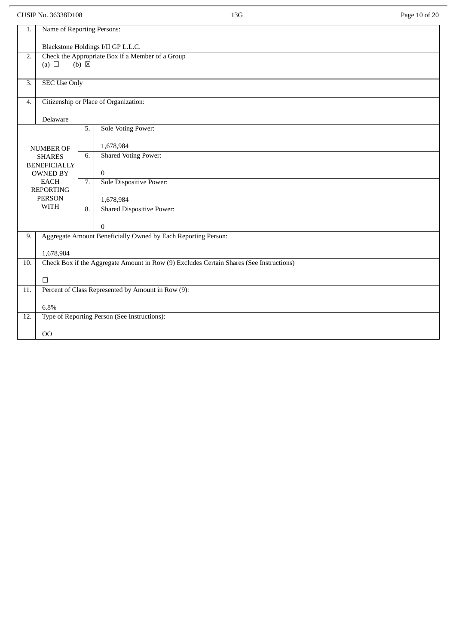CUSIP No. 36338D108 Page 10 of 20

| 1.  | Name of Reporting Persons:                                                                     |                 |                                                               |  |  |
|-----|------------------------------------------------------------------------------------------------|-----------------|---------------------------------------------------------------|--|--|
|     | Blackstone Holdings I/II GP L.L.C.                                                             |                 |                                                               |  |  |
| 2.  |                                                                                                | $(b) \boxtimes$ | Check the Appropriate Box if a Member of a Group              |  |  |
|     | (a) $\Box$                                                                                     |                 |                                                               |  |  |
| 3.  | <b>SEC Use Only</b>                                                                            |                 |                                                               |  |  |
| 4.  |                                                                                                |                 | Citizenship or Place of Organization:                         |  |  |
|     | Delaware                                                                                       |                 |                                                               |  |  |
|     |                                                                                                | 5.              | <b>Sole Voting Power:</b>                                     |  |  |
|     | <b>NUMBER OF</b>                                                                               |                 | 1,678,984                                                     |  |  |
|     | <b>SHARES</b><br><b>BENEFICIALLY</b>                                                           | 6.              | <b>Shared Voting Power:</b>                                   |  |  |
|     | <b>OWNED BY</b>                                                                                |                 | $\bf{0}$                                                      |  |  |
|     | <b>EACH</b><br><b>REPORTING</b>                                                                | 7.              | Sole Dispositive Power:                                       |  |  |
|     | <b>PERSON</b>                                                                                  |                 | 1,678,984                                                     |  |  |
|     | <b>WITH</b>                                                                                    | 8.              | <b>Shared Dispositive Power:</b>                              |  |  |
|     |                                                                                                |                 | $\bf{0}$                                                      |  |  |
| 9.  |                                                                                                |                 | Aggregate Amount Beneficially Owned by Each Reporting Person: |  |  |
|     | 1,678,984                                                                                      |                 |                                                               |  |  |
|     | Check Box if the Aggregate Amount in Row (9) Excludes Certain Shares (See Instructions)<br>10. |                 |                                                               |  |  |
|     | $\Box$                                                                                         |                 |                                                               |  |  |
| 11. | Percent of Class Represented by Amount in Row (9):                                             |                 |                                                               |  |  |
|     | 6.8%                                                                                           |                 |                                                               |  |  |
| 12. |                                                                                                |                 | Type of Reporting Person (See Instructions):                  |  |  |
|     | 00                                                                                             |                 |                                                               |  |  |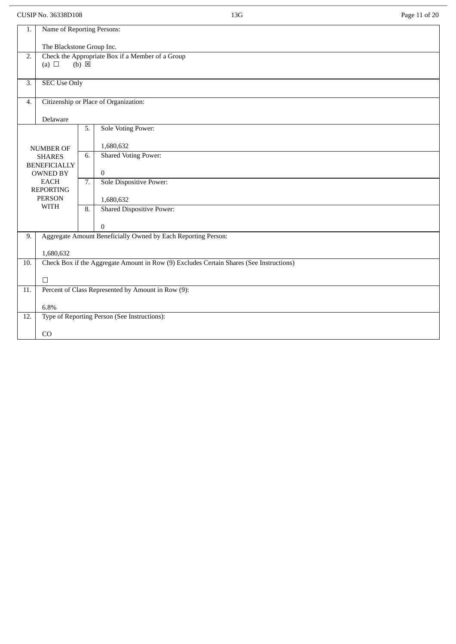|                  | CUSIP No. 36338D108                                                               |    | 13G                                                                                     | Page 11 of 20 |  |  |
|------------------|-----------------------------------------------------------------------------------|----|-----------------------------------------------------------------------------------------|---------------|--|--|
| 1.               | Name of Reporting Persons:                                                        |    |                                                                                         |               |  |  |
|                  | The Blackstone Group Inc.                                                         |    |                                                                                         |               |  |  |
| $\overline{2}$ . | Check the Appropriate Box if a Member of a Group<br>$(b) \boxtimes$<br>(a) $\Box$ |    |                                                                                         |               |  |  |
| 3.               | <b>SEC Use Only</b>                                                               |    |                                                                                         |               |  |  |
| 4.               |                                                                                   |    | Citizenship or Place of Organization:                                                   |               |  |  |
|                  | Delaware                                                                          |    |                                                                                         |               |  |  |
|                  |                                                                                   | 5. | <b>Sole Voting Power:</b>                                                               |               |  |  |
|                  | <b>NUMBER OF</b>                                                                  |    | 1,680,632                                                                               |               |  |  |
|                  | <b>SHARES</b><br><b>BENEFICIALLY</b>                                              | 6. | <b>Shared Voting Power:</b>                                                             |               |  |  |
|                  | <b>OWNED BY</b>                                                                   |    | $\boldsymbol{0}$                                                                        |               |  |  |
|                  | <b>EACH</b><br><b>REPORTING</b>                                                   | 7. | Sole Dispositive Power:                                                                 |               |  |  |
|                  | <b>PERSON</b><br><b>WITH</b>                                                      |    | 1,680,632                                                                               |               |  |  |
|                  |                                                                                   | 8. | <b>Shared Dispositive Power:</b>                                                        |               |  |  |
|                  |                                                                                   |    | $\Omega$                                                                                |               |  |  |
| 9.               |                                                                                   |    | Aggregate Amount Beneficially Owned by Each Reporting Person:                           |               |  |  |
|                  | 1,680,632                                                                         |    |                                                                                         |               |  |  |
| 10.              |                                                                                   |    | Check Box if the Aggregate Amount in Row (9) Excludes Certain Shares (See Instructions) |               |  |  |
|                  | $\Box$                                                                            |    |                                                                                         |               |  |  |
| 11.              |                                                                                   |    | Percent of Class Represented by Amount in Row (9):                                      |               |  |  |
| 12.              | 6.8%                                                                              |    | Type of Reporting Person (See Instructions):                                            |               |  |  |
|                  |                                                                                   |    |                                                                                         |               |  |  |
|                  | CO                                                                                |    |                                                                                         |               |  |  |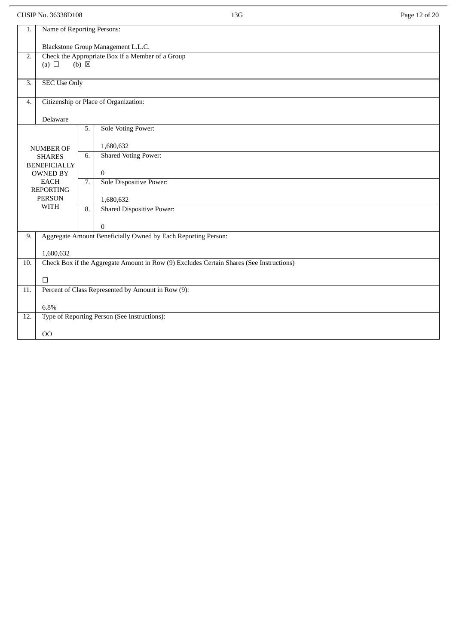CUSIP No. 36338D108 Page 12 of 20

| 1.  | Name of Reporting Persons:                                                                     |                  |                                                                           |  |  |
|-----|------------------------------------------------------------------------------------------------|------------------|---------------------------------------------------------------------------|--|--|
|     | Blackstone Group Management L.L.C.                                                             |                  |                                                                           |  |  |
| 2.  | Check the Appropriate Box if a Member of a Group                                               |                  |                                                                           |  |  |
|     | (a) $\Box$                                                                                     | $(b) \boxtimes$  |                                                                           |  |  |
| 3.  | <b>SEC Use Only</b>                                                                            |                  |                                                                           |  |  |
|     |                                                                                                |                  |                                                                           |  |  |
| 4.  |                                                                                                |                  | Citizenship or Place of Organization:                                     |  |  |
|     | Delaware                                                                                       |                  |                                                                           |  |  |
|     |                                                                                                | 5.               | <b>Sole Voting Power:</b>                                                 |  |  |
|     | <b>NUMBER OF</b>                                                                               |                  | 1,680,632                                                                 |  |  |
|     | <b>SHARES</b>                                                                                  | 6.               | <b>Shared Voting Power:</b>                                               |  |  |
|     | <b>BENEFICIALLY</b><br><b>OWNED BY</b>                                                         |                  | $\overline{0}$                                                            |  |  |
|     | <b>EACH</b>                                                                                    | 7.               | Sole Dispositive Power:                                                   |  |  |
|     | <b>REPORTING</b><br><b>PERSON</b>                                                              |                  | 1,680,632                                                                 |  |  |
|     | <b>WITH</b>                                                                                    | $\overline{8}$ . | <b>Shared Dispositive Power:</b>                                          |  |  |
|     |                                                                                                |                  |                                                                           |  |  |
| 9.  |                                                                                                |                  | $\bf{0}$<br>Aggregate Amount Beneficially Owned by Each Reporting Person: |  |  |
|     |                                                                                                |                  |                                                                           |  |  |
|     | 1,680,632                                                                                      |                  |                                                                           |  |  |
|     | Check Box if the Aggregate Amount in Row (9) Excludes Certain Shares (See Instructions)<br>10. |                  |                                                                           |  |  |
|     | $\Box$                                                                                         |                  |                                                                           |  |  |
| 11. |                                                                                                |                  | Percent of Class Represented by Amount in Row (9):                        |  |  |
|     | 6.8%                                                                                           |                  |                                                                           |  |  |
| 12. |                                                                                                |                  | Type of Reporting Person (See Instructions):                              |  |  |
|     | O <sub>O</sub>                                                                                 |                  |                                                                           |  |  |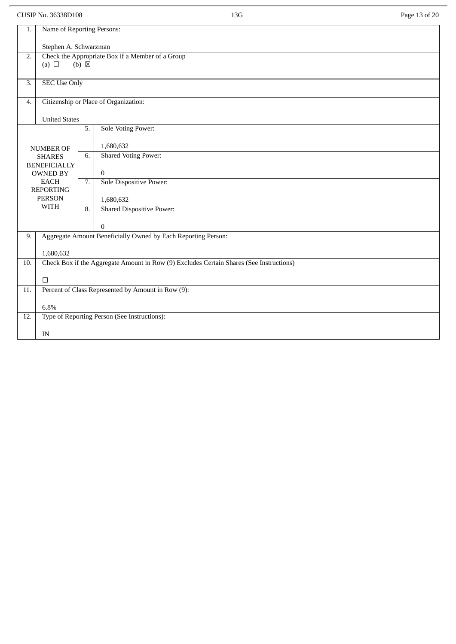CUSIP No. 36338D108 Page 13 of 20

| 1.               | Name of Reporting Persons:                                                              |                 |                                                               |  |  |
|------------------|-----------------------------------------------------------------------------------------|-----------------|---------------------------------------------------------------|--|--|
|                  | Stephen A. Schwarzman                                                                   |                 |                                                               |  |  |
| $\overline{2}$ . | (a) $\Box$                                                                              | $(b) \boxtimes$ | Check the Appropriate Box if a Member of a Group              |  |  |
|                  |                                                                                         |                 |                                                               |  |  |
| 3.               | <b>SEC Use Only</b>                                                                     |                 |                                                               |  |  |
| $\overline{4}$ . |                                                                                         |                 | Citizenship or Place of Organization:                         |  |  |
|                  | <b>United States</b>                                                                    |                 |                                                               |  |  |
|                  |                                                                                         | 5.              | <b>Sole Voting Power:</b>                                     |  |  |
|                  | <b>NUMBER OF</b>                                                                        |                 | 1,680,632                                                     |  |  |
|                  | <b>SHARES</b>                                                                           | 6.              | <b>Shared Voting Power:</b>                                   |  |  |
|                  | <b>BENEFICIALLY</b><br><b>OWNED BY</b>                                                  |                 | $\theta$                                                      |  |  |
|                  | <b>EACH</b><br><b>REPORTING</b>                                                         | 7.              | Sole Dispositive Power:                                       |  |  |
|                  | <b>PERSON</b>                                                                           |                 | 1,680,632                                                     |  |  |
|                  | <b>WITH</b>                                                                             | 8.              | <b>Shared Dispositive Power:</b>                              |  |  |
|                  |                                                                                         |                 | $\mathbf{0}$                                                  |  |  |
| 9.               |                                                                                         |                 | Aggregate Amount Beneficially Owned by Each Reporting Person: |  |  |
|                  | 1,680,632                                                                               |                 |                                                               |  |  |
| 10.              | Check Box if the Aggregate Amount in Row (9) Excludes Certain Shares (See Instructions) |                 |                                                               |  |  |
|                  | $\Box$                                                                                  |                 |                                                               |  |  |
| 11.              | Percent of Class Represented by Amount in Row (9):                                      |                 |                                                               |  |  |
| 6.8%             |                                                                                         |                 |                                                               |  |  |
| 12.              |                                                                                         |                 | Type of Reporting Person (See Instructions):                  |  |  |
|                  | IN                                                                                      |                 |                                                               |  |  |
|                  |                                                                                         |                 |                                                               |  |  |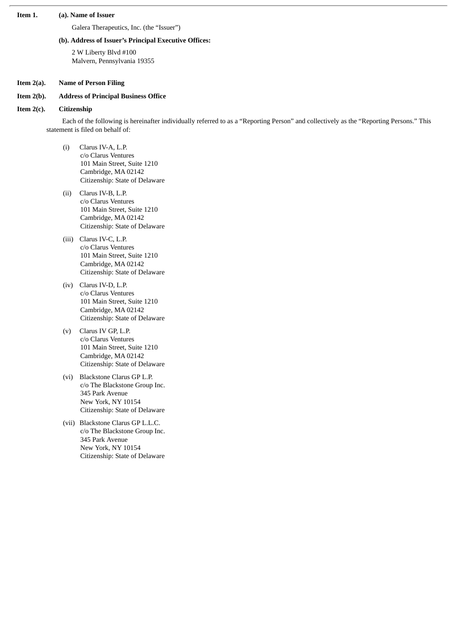## **Item 1. (a). Name of Issuer**

Galera Therapeutics, Inc. (the "Issuer")

#### **(b). Address of Issuer's Principal Executive Offices:**

2 W Liberty Blvd #100 Malvern, Pennsylvania 19355

#### **Item 2(a). Name of Person Filing**

# **Item 2(b). Address of Principal Business Office**

#### **Item 2(c). Citizenship**

Each of the following is hereinafter individually referred to as a "Reporting Person" and collectively as the "Reporting Persons." This statement is filed on behalf of:

- (i) Clarus IV-A, L.P. c/o Clarus Ventures 101 Main Street, Suite 1210 Cambridge, MA 02142 Citizenship: State of Delaware
- (ii) Clarus IV-B, L.P. c/o Clarus Ventures 101 Main Street, Suite 1210 Cambridge, MA 02142 Citizenship: State of Delaware
- (iii) Clarus IV-C, L.P. c/o Clarus Ventures 101 Main Street, Suite 1210 Cambridge, MA 02142 Citizenship: State of Delaware
- (iv) Clarus IV-D, L.P. c/o Clarus Ventures 101 Main Street, Suite 1210 Cambridge, MA 02142 Citizenship: State of Delaware
- (v) Clarus IV GP, L.P. c/o Clarus Ventures 101 Main Street, Suite 1210 Cambridge, MA 02142 Citizenship: State of Delaware
- (vi) Blackstone Clarus GP L.P. c/o The Blackstone Group Inc. 345 Park Avenue New York, NY 10154 Citizenship: State of Delaware
- (vii) Blackstone Clarus GP L.L.C. c/o The Blackstone Group Inc. 345 Park Avenue New York, NY 10154 Citizenship: State of Delaware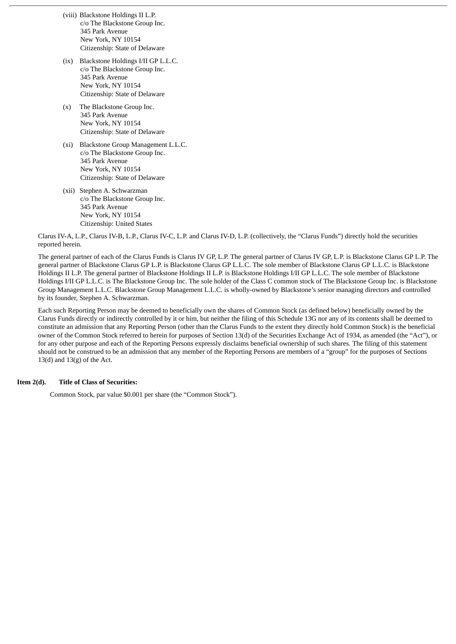- (viii) Blackstone Holdings II L.P. c/o The Blackstone Group Inc. 345 Park Avenue New York, NY 10154 Citizenship: State of Delaware
- (ix) Blackstone Holdings I/II GP L.L.C. c/o The Blackstone Group Inc. 345 Park Avenue New York, NY 10154 Citizenship: State of Delaware
- (x) The Blackstone Group Inc. 345 Park Avenue New York, NY 10154 Citizenship: State of Delaware
- (xi) Blackstone Group Management L.L.C. c/o The Blackstone Group Inc. 345 Park Avenue New York, NY 10154 Citizenship: State of Delaware
- (xii) Stephen A. Schwarzman c/o The Blackstone Group Inc. 345 Park Avenue New York, NY 10154 Citizenship: United States

Clarus IV-A, L.P., Clarus IV-B, L.P., Clarus IV-C, L.P. and Clarus IV-D, L.P. (collectively, the "Clarus Funds") directly hold the securities reported herein.

The general partner of each of the Clarus Funds is Clarus IV GP, L.P. The general partner of Clarus IV GP, L.P. is Blackstone Clarus GP L.P. The general partner of Blackstone Clarus GP L.P. is Blackstone Clarus GP L.L.C. The sole member of Blackstone Clarus GP L.L.C. is Blackstone Holdings II L.P. The general partner of Blackstone Holdings II L.P. is Blackstone Holdings I/II GP L.L.C. The sole member of Blackstone Holdings I/II GP L.L.C. is The Blackstone Group Inc. The sole holder of the Class C common stock of The Blackstone Group Inc. is Blackstone Group Management L.L.C. Blackstone Group Management L.L.C. is wholly-owned by Blackstone's senior managing directors and controlled by its founder, Stephen A. Schwarzman.

Each such Reporting Person may be deemed to beneficially own the shares of Common Stock (as defined below) beneficially owned by the Clarus Funds directly or indirectly controlled by it or him, but neither the filing of this Schedule 13G nor any of its contents shall be deemed to constitute an admission that any Reporting Person (other than the Clarus Funds to the extent they directly hold Common Stock) is the beneficial owner of the Common Stock referred to herein for purposes of Section 13(d) of the Securities Exchange Act of 1934, as amended (the "Act"), or for any other purpose and each of the Reporting Persons expressly disclaims beneficial ownership of such shares. The filing of this statement should not be construed to be an admission that any member of the Reporting Persons are members of a "group" for the purposes of Sections  $13(d)$  and  $13(g)$  of the Act.

#### **Item 2(d). Title of Class of Securities:**

Common Stock, par value \$0.001 per share (the "Common Stock").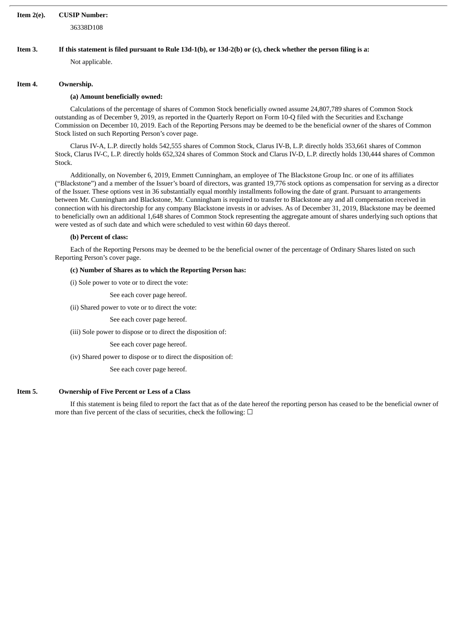# **Item 2(e). CUSIP Number:**

36338D108

## Item 3. If this statement is filed pursuant to Rule 13d-1(b), or 13d-2(b) or (c), check whether the person filing is a:

Not applicable.

#### **Item 4. Ownership.**

## **(a) Amount beneficially owned:**

Calculations of the percentage of shares of Common Stock beneficially owned assume 24,807,789 shares of Common Stock outstanding as of December 9, 2019, as reported in the Quarterly Report on Form 10-Q filed with the Securities and Exchange Commission on December 10, 2019. Each of the Reporting Persons may be deemed to be the beneficial owner of the shares of Common Stock listed on such Reporting Person's cover page.

Clarus IV-A, L.P. directly holds 542,555 shares of Common Stock, Clarus IV-B, L.P. directly holds 353,661 shares of Common Stock, Clarus IV-C, L.P. directly holds 652,324 shares of Common Stock and Clarus IV-D, L.P. directly holds 130,444 shares of Common Stock.

Additionally, on November 6, 2019, Emmett Cunningham, an employee of The Blackstone Group Inc. or one of its affiliates ("Blackstone") and a member of the Issuer's board of directors, was granted 19,776 stock options as compensation for serving as a director of the Issuer. These options vest in 36 substantially equal monthly installments following the date of grant. Pursuant to arrangements between Mr. Cunningham and Blackstone, Mr. Cunningham is required to transfer to Blackstone any and all compensation received in connection with his directorship for any company Blackstone invests in or advises. As of December 31, 2019, Blackstone may be deemed to beneficially own an additional 1,648 shares of Common Stock representing the aggregate amount of shares underlying such options that were vested as of such date and which were scheduled to vest within 60 days thereof.

## **(b) Percent of class:**

Each of the Reporting Persons may be deemed to be the beneficial owner of the percentage of Ordinary Shares listed on such Reporting Person's cover page.

## **(c) Number of Shares as to which the Reporting Person has:**

(i) Sole power to vote or to direct the vote:

See each cover page hereof.

(ii) Shared power to vote or to direct the vote:

See each cover page hereof.

(iii) Sole power to dispose or to direct the disposition of:

See each cover page hereof.

(iv) Shared power to dispose or to direct the disposition of:

See each cover page hereof.

# **Item 5. Ownership of Five Percent or Less of a Class**

If this statement is being filed to report the fact that as of the date hereof the reporting person has ceased to be the beneficial owner of more than five percent of the class of securities, check the following:  $\Box$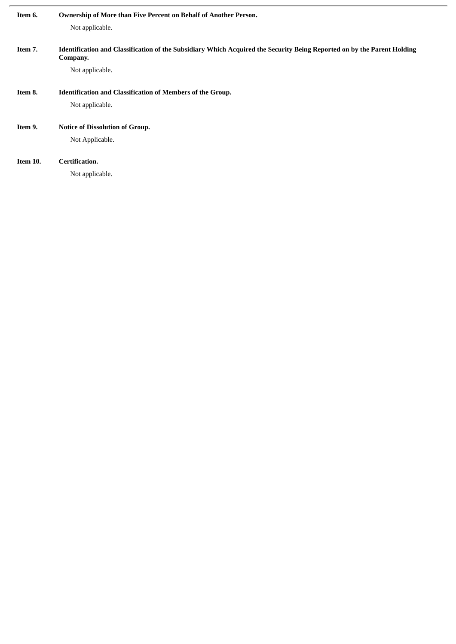| Item 6.  | Ownership of More than Five Percent on Behalf of Another Person.                                                        |
|----------|-------------------------------------------------------------------------------------------------------------------------|
|          | Not applicable.                                                                                                         |
|          |                                                                                                                         |
| Item 7.  | Identification and Classification of the Subsidiary Which Acquired the Security Being Reported on by the Parent Holding |
|          | Company.                                                                                                                |
|          | Not applicable.                                                                                                         |
|          |                                                                                                                         |
| Item 8.  | <b>Identification and Classification of Members of the Group.</b>                                                       |
|          | Not applicable.                                                                                                         |
|          |                                                                                                                         |
| Item 9.  | <b>Notice of Dissolution of Group.</b>                                                                                  |
|          | Not Applicable.                                                                                                         |
|          |                                                                                                                         |
| Item 10. | Certification.                                                                                                          |
|          | Not applicable.                                                                                                         |
|          |                                                                                                                         |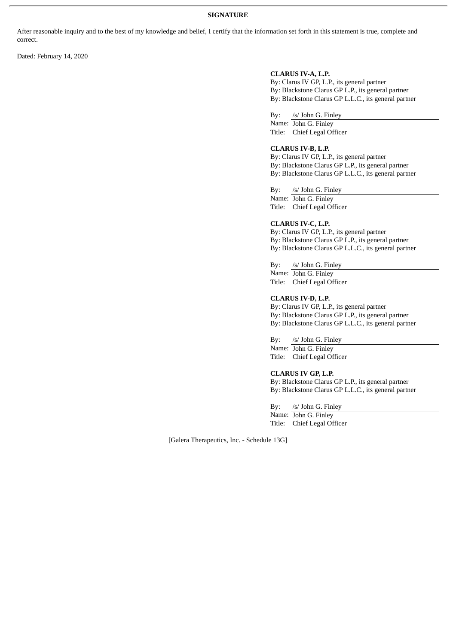# **SIGNATURE**

After reasonable inquiry and to the best of my knowledge and belief, I certify that the information set forth in this statement is true, complete and correct.

Dated: February 14, 2020

# **CLARUS IV-A, L.P.**

By: Clarus IV GP, L.P., its general partner By: Blackstone Clarus GP L.P., its general partner By: Blackstone Clarus GP L.L.C., its general partner

By: /s/ John G. Finley

Name: John G. Finley Title: Chief Legal Officer

# **CLARUS IV-B, L.P.**

By: Clarus IV GP, L.P., its general partner By: Blackstone Clarus GP L.P., its general partner By: Blackstone Clarus GP L.L.C., its general partner

By: /s/ John G. Finley

Name: John G. Finley Title: Chief Legal Officer

#### **CLARUS IV-C, L.P.**

By: Clarus IV GP, L.P., its general partner By: Blackstone Clarus GP L.P., its general partner By: Blackstone Clarus GP L.L.C., its general partner

By: /s/ John G. Finley

Name: John G. Finley Title: Chief Legal Officer

**CLARUS IV-D, L.P.**

By: Clarus IV GP, L.P., its general partner By: Blackstone Clarus GP L.P., its general partner By: Blackstone Clarus GP L.L.C., its general partner

By: /s/ John G. Finley

Name: John G. Finley Title: Chief Legal Officer

# **CLARUS IV GP, L.P.**

By: Blackstone Clarus GP L.P., its general partner By: Blackstone Clarus GP L.L.C., its general partner

By: /s/ John G. Finley

Name: John G. Finley Title: Chief Legal Officer

[Galera Therapeutics, Inc. - Schedule 13G]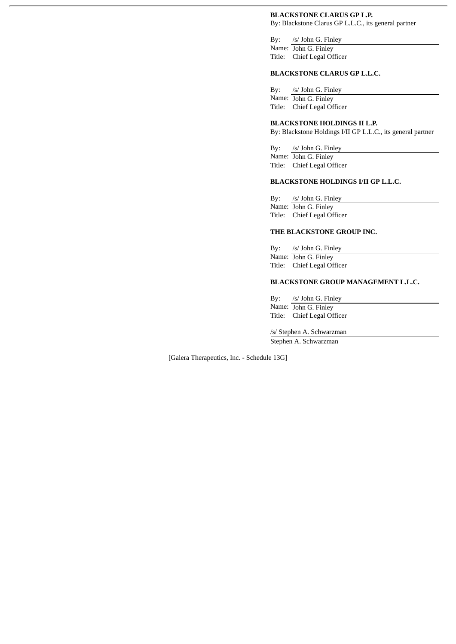# **BLACKSTONE CLARUS GP L.P.**

By: Blackstone Clarus GP L.L.C., its general partner

By: /s/ John G. Finley Name: John G. Finley Title: Chief Legal Officer

# **BLACKSTONE CLARUS GP L.L.C.**

By: /s/ John G. Finley Name: John G. Finley Title: Chief Legal Officer

# **BLACKSTONE HOLDINGS II L.P.**

By: Blackstone Holdings I/II GP L.L.C., its general partner

By: /s/ John G. Finley Name: John G. Finley Title: Chief Legal Officer

# **BLACKSTONE HOLDINGS I/II GP L.L.C.**

By: /s/ John G. Finley Name: John G. Finley Title: Chief Legal Officer

# **THE BLACKSTONE GROUP INC.**

By: /s/ John G. Finley Name: John G. Finley Title: Chief Legal Officer

# **BLACKSTONE GROUP MANAGEMENT L.L.C.**

By: /s/ John G. Finley Name: John G. Finley Title: Chief Legal Officer

/s/ Stephen A. Schwarzman Stephen A. Schwarzman

[Galera Therapeutics, Inc. - Schedule 13G]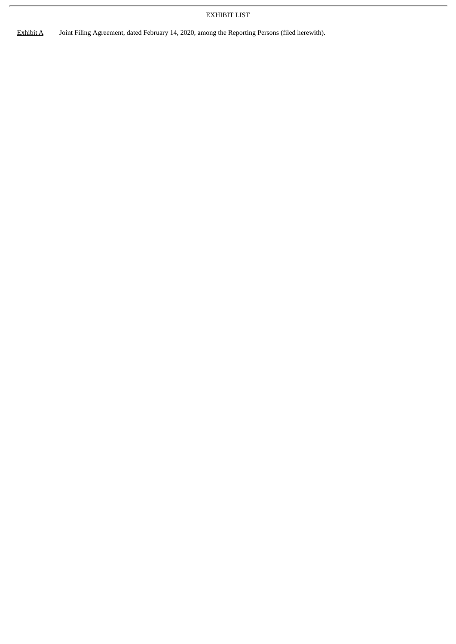# EXHIBIT LIST

Exhibit A Joint Filing Agreement, dated February 14, 2020, among the Reporting Persons (filed herewith).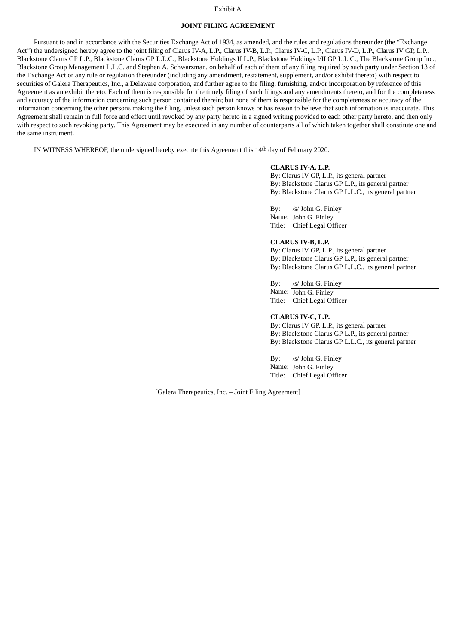#### Exhibit A

# **JOINT FILING AGREEMENT**

Pursuant to and in accordance with the Securities Exchange Act of 1934, as amended, and the rules and regulations thereunder (the "Exchange Act") the undersigned hereby agree to the joint filing of Clarus IV-A, L.P., Clarus IV-B, L.P., Clarus IV-D, L.P., L.P., Clarus IV-D, L.P., Clarus IV GP, L.P., Blackstone Clarus GP L.P., Blackstone Clarus GP L.L.C., Blackstone Holdings II L.P., Blackstone Holdings I/II GP L.L.C., The Blackstone Group Inc., Blackstone Group Management L.L.C. and Stephen A. Schwarzman, on behalf of each of them of any filing required by such party under Section 13 of the Exchange Act or any rule or regulation thereunder (including any amendment, restatement, supplement, and/or exhibit thereto) with respect to securities of Galera Therapeutics, Inc., a Delaware corporation, and further agree to the filing, furnishing, and/or incorporation by reference of this Agreement as an exhibit thereto. Each of them is responsible for the timely filing of such filings and any amendments thereto, and for the completeness and accuracy of the information concerning such person contained therein; but none of them is responsible for the completeness or accuracy of the information concerning the other persons making the filing, unless such person knows or has reason to believe that such information is inaccurate. This Agreement shall remain in full force and effect until revoked by any party hereto in a signed writing provided to each other party hereto, and then only with respect to such revoking party. This Agreement may be executed in any number of counterparts all of which taken together shall constitute one and the same instrument.

IN WITNESS WHEREOF, the undersigned hereby execute this Agreement this 14th day of February 2020.

#### **CLARUS IV-A, L.P.**

By: Clarus IV GP, L.P., its general partner By: Blackstone Clarus GP L.P., its general partner By: Blackstone Clarus GP L.L.C., its general partner

By: /s/ John G. Finley Name: John G. Finley Title: Chief Legal Officer

# **CLARUS IV-B, L.P.**

By: Clarus IV GP, L.P., its general partner By: Blackstone Clarus GP L.P., its general partner By: Blackstone Clarus GP L.L.C., its general partner

By: /s/ John G. Finley

Name: John G. Finley Title: Chief Legal Officer

**CLARUS IV-C, L.P.**

By: Clarus IV GP, L.P., its general partner By: Blackstone Clarus GP L.P., its general partner By: Blackstone Clarus GP L.L.C., its general partner

By: /s/ John G. Finley

Name: John G. Finley Title: Chief Legal Officer

[Galera Therapeutics, Inc. – Joint Filing Agreement]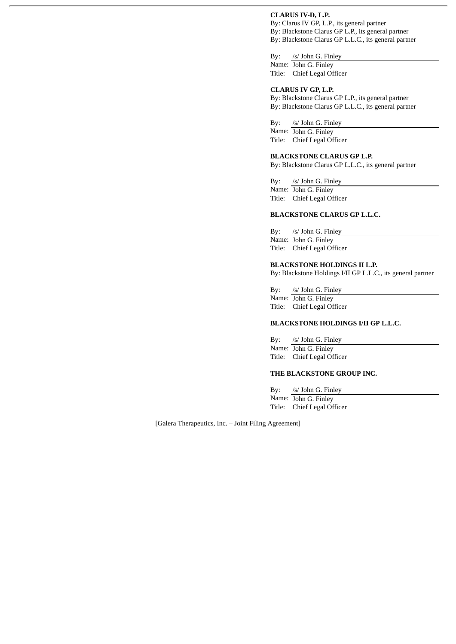# **CLARUS IV-D, L.P.**

By: Clarus IV GP, L.P., its general partner By: Blackstone Clarus GP L.P., its general partner By: Blackstone Clarus GP L.L.C., its general partner

By: /s/ John G. Finley Name: John G. Finley Title: Chief Legal Officer

#### **CLARUS IV GP, L.P.**

By: Blackstone Clarus GP L.P., its general partner By: Blackstone Clarus GP L.L.C., its general partner

By: /s/ John G. Finley

Name: John G. Finley Title: Chief Legal Officer

#### **BLACKSTONE CLARUS GP L.P.**

By: Blackstone Clarus GP L.L.C., its general partner

By: /s/ John G. Finley Name: John G. Finley Title: Chief Legal Officer

# **BLACKSTONE CLARUS GP L.L.C.**

By: /s/ John G. Finley Name: John G. Finley Title: Chief Legal Officer

## **BLACKSTONE HOLDINGS II L.P.**

By: Blackstone Holdings I/II GP L.L.C., its general partner

By: /s/ John G. Finley Name: John G. Finley Title: Chief Legal Officer

#### **BLACKSTONE HOLDINGS I/II GP L.L.C.**

By: /s/ John G. Finley Name: John G. Finley Title: Chief Legal Officer

#### **THE BLACKSTONE GROUP INC.**

By: /s/ John G. Finley Name: John G. Finley Title: Chief Legal Officer

[Galera Therapeutics, Inc. – Joint Filing Agreement]